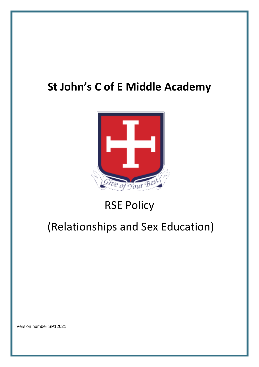## **St John's C of E Middle Academy**



## RSE Policy

## (Relationships and Sex Education)

Version number SP12021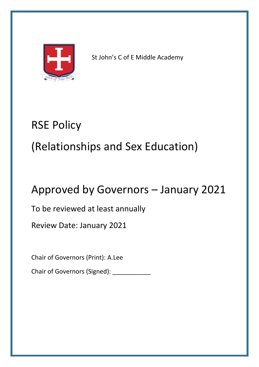

St John's C of E Middle Academy

## RSE Policy

# (Relationships and Sex Education)

## Approved by Governors – January 2021

To be reviewed at least annually

Review Date: January 2021

Chair of Governors (Print): A.Lee

Chair of Governors (Signed): \_\_\_\_\_\_\_\_\_\_\_\_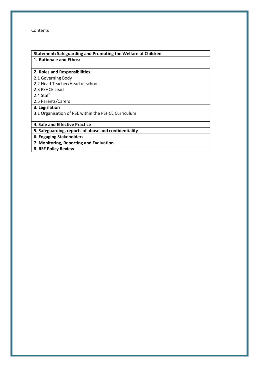Contents

| Statement: Safeguarding and Promoting the Welfare of Children |  |  |
|---------------------------------------------------------------|--|--|
| 1. Rationale and Ethos:                                       |  |  |
|                                                               |  |  |
| 2. Roles and Responsibilities                                 |  |  |
| 2.1 Governing Body                                            |  |  |
| 2.2 Head Teacher/Head of school                               |  |  |
| 2.3 PSHCE Lead                                                |  |  |
| 2.4 Staff                                                     |  |  |
| 2.5 Parents/Carers                                            |  |  |
| 3. Legislation                                                |  |  |
| 3.1 Organisation of RSE within the PSHCE Curriculum           |  |  |
|                                                               |  |  |
| 4. Safe and Effective Practice                                |  |  |
| 5. Safeguarding, reports of abuse and confidentiality         |  |  |
| 6. Engaging Stakeholders                                      |  |  |
| 7. Monitoring, Reporting and Evaluation                       |  |  |
| 8. RSE Policy Review                                          |  |  |
|                                                               |  |  |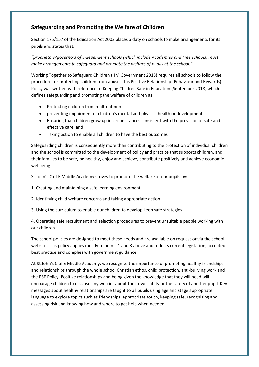### **Safeguarding and Promoting the Welfare of Children**

Section 175/157 of the Education Act 2002 places a duty on schools to make arrangements for its pupils and states that:

*"proprietors/governors of independent schools (which include Academies and Free schools) must make arrangements to safeguard and promote the welfare of pupils at the school."*

Working Together to Safeguard Children (HM Government 2018) requires all schools to follow the procedure for protecting children from abuse. This Positive Relationship (Behaviour and Rewards) Policy was written with reference to Keeping Children Safe in Education (September 2018) which defines safeguarding and promoting the welfare of children as:

- Protecting children from maltreatment
- preventing impairment of children's mental and physical health or development
- Ensuring that children grow up in circumstances consistent with the provision of safe and effective care; and
- Taking action to enable all children to have the best outcomes

Safeguarding children is consequently more than contributing to the protection of individual children and the school is committed to the development of policy and practice that supports children, and their families to be safe, be healthy, enjoy and achieve, contribute positively and achieve economic wellbeing.

St John's C of E Middle Academy strives to promote the welfare of our pupils by:

1. Creating and maintaining a safe learning environment

2. Identifying child welfare concerns and taking appropriate action

3. Using the curriculum to enable our children to develop keep safe strategies

4. Operating safe recruitment and selection procedures to prevent unsuitable people working with our children.

The school policies are designed to meet these needs and are available on request or via the school website. This policy applies mostly to points 1 and 3 above and reflects current legislation, accepted best practice and complies with government guidance.

At St John's C of E Middle Academy, we recognise the importance of promoting healthy friendships and relationships through the whole school Christian ethos, child protection, anti-bullying work and the RSE Policy. Positive relationships and being given the knowledge that they will need will encourage children to disclose any worries about their own safety or the safety of another pupil. Key messages about healthy relationships are taught to all pupils using age and stage appropriate language to explore topics such as friendships, appropriate touch, keeping safe, recognising and assessing risk and knowing how and where to get help when needed.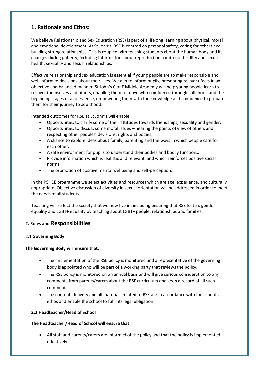### **1. Rationale and Ethos:**

We believe Relationship and Sex Education (RSE) is part of a lifelong learning about physical, moral and emotional development. At St John's, RSE is centred on personal safety, caring for others and building strong relationships. This is coupled with teaching students about the human body and its changes during puberty, including information about reproduction, control of fertility and sexual health, sexuality and sexual relationships.

Effective relationship and sex education is essential if young people are to make responsible and well informed decisions about their lives. We aim to inform pupils, presenting relevant facts in an objective and balanced manner. St John's C of E Middle Academy will help young people learn to respect themselves and others, enabling them to move with confidence through childhood and the beginning stages of adolescence, empowering them with the knowledge and confidence to prepare them for their journey to adulthood.

Intended outcomes for RSE at St John's will enable:

- Opportunities to clarify some of their attitudes towards friendships, sexuality and gender.
- Opportunities to discuss some moral issues hearing the points of view of others and respecting other peoples' decisions, rights and bodies.
- A chance to explore ideas about family, parenting and the ways in which people care for each other.
- A safe environment for pupils to understand their bodies and bodily functions.
- Provide information which is realistic and relevant, and which reinforces positive social norms.
- The promotion of positive mental wellbeing and self-perception.

In the PSHCE programme we select activities and resources which are age, experience, and culturally appropriate. Objective discussion of diversity in sexual orientation will be addressed in order to meet the needs of all students.

Teaching will reflect the society that we now live in, including ensuring that RSE fosters gender equality and LGBT+ equality by teaching about LGBT+ people, relationships and families.

#### **2. Roles and Responsibilities**

#### 2.1 **Governing Body**

#### **The Governing Body will ensure that:**

- The implementation of the RSE policy is monitored and a representative of the governing body is appointed who will be part of a working party that reviews the policy.
- The RSE policy is monitored on an annual basis and will give serious consideration to any comments from parents/carers about the RSE curriculum and keep a record of all such comments.
- The content, delivery and all materials related to RSE are in accordance with the school's ethos and enable the school to fulfil its legal obligation.

#### **2.2 Headteacher/Head of School**

#### **The Headteacher/Head of School will ensure that:**

• All staff and parents/carers are informed of the policy and that the policy is implemented effectively.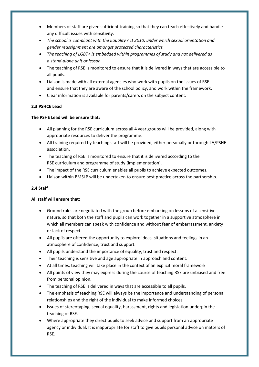- Members of staff are given sufficient training so that they can teach effectively and handle any difficult issues with sensitivity.
- *The school is compliant with the Equality Act 2010, under which sexual orientation and gender reassignment are amongst protected characteristics.*
- *The teaching of LGBT+ is embedded within programmes of study and not delivered as a stand-alone unit or lesson.*
- The teaching of RSE is monitored to ensure that it is delivered in ways that are accessible to all pupils.
- Liaison is made with all external agencies who work with pupils on the issues of RSE and ensure that they are aware of the school policy, and work within the framework.
- Clear information is available for parents/carers on the subject content.

#### **2.3 PSHCE Lead**

#### **The PSHE Lead will be ensure that:**

- All planning for the RSE curriculum across all 4 year groups will be provided, along with appropriate resources to deliver the programme.
- All training required by teaching staff will be provided, either personally or through LA/PSHE association.
- The teaching of RSE is monitored to ensure that it is delivered according to the RSE curriculum and programme of study (implementation).
- The impact of the RSE curriculum enables all pupils to achieve expected outcomes.
- Liaison within BMSLP will be undertaken to ensure best practice across the partnership.

#### **2.4 Staff**

#### **All staff will ensure that:**

- Ground rules are negotiated with the group before embarking on lessons of a sensitive nature, so that both the staff and pupils can work together in a supportive atmosphere in which all members can speak with confidence and without fear of embarrassment, anxiety or lack of respect.
- All pupils are offered the opportunity to explore ideas, situations and feelings in an atmosphere of confidence, trust and support.
- All pupils understand the importance of equality, trust and respect.
- Their teaching is sensitive and age appropriate in approach and content.
- At all times, teaching will take place in the context of an explicit moral framework.
- All points of view they may express during the course of teaching RSE are unbiased and free from personal opinion.
- The teaching of RSE is delivered in ways that are accessible to all pupils.
- The emphasis of teaching RSE will always be the importance and understanding of personal relationships and the right of the individual to make informed choices.
- Issues of stereotyping, sexual equality, harassment, rights and legislation underpin the teaching of RSE.
- Where appropriate they direct pupils to seek advice and support from an appropriate agency or individual. It is inappropriate for staff to give pupils personal advice on matters of RSE.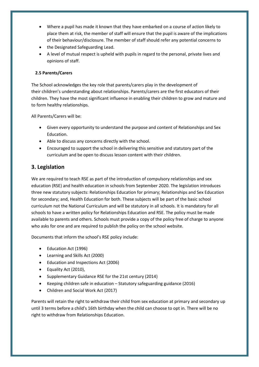- Where a pupil has made it known that they have embarked on a course of action likely to place them at risk, the member of staff will ensure that the pupil is aware of the implications of their behaviour/disclosure. The member of staff should refer any potential concerns to
- the Designated Safeguarding Lead.
- A level of mutual respect is upheld with pupils in regard to the personal, private lives and opinions of staff.

#### **2.5 Parents/Carers**

The School acknowledges the key role that parents/carers play in the development of their children's understanding about relationships. Parents/carers are the first educators of their children. They have the most significant influence in enabling their children to grow and mature and to form healthy relationships.

All Parents/Carers will be:

- Given every opportunity to understand the purpose and content of Relationships and Sex Education.
- Able to discuss any concerns directly with the school.
- Encouraged to support the school in delivering this sensitive and statutory part of the curriculum and be open to discuss lesson content with their children.

#### **3. Legislation**

We are required to teach RSE as part of the introduction of compulsory relationships and sex education (RSE) and health education in schools from September 2020. The legislation introduces three new statutory subjects: Relationships Education for primary; Relationships and Sex Education for secondary; and, Health Education for both. These subjects will be part of the basic school curriculum not the National Curriculum and will be statutory in all schools. It is mandatory for all schools to have a written policy for Relationships Education and RSE. The policy must be made available to parents and others. Schools must provide a copy of the policy free of charge to anyone who asks for one and are required to publish the policy on the school website.

Documents that inform the school's RSE policy include:

- Education Act (1996)
- Learning and Skills Act (2000)
- Education and Inspections Act (2006)
- Equality Act (2010),
- Supplementary Guidance RSE for the 21st century (2014)
- Keeping children safe in education Statutory safeguarding guidance (2016)
- Children and Social Work Act (2017)

Parents will retain the right to withdraw their child from sex education at primary and secondary up until 3 terms before a child's 16th birthday when the child can choose to opt in. There will be no right to withdraw from Relationships Education.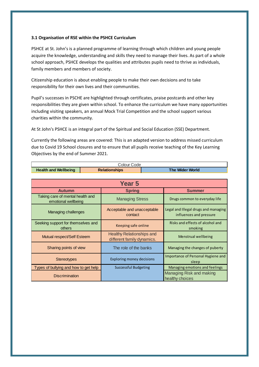#### **3.1 Organisation of RSE within the PSHCE Curriculum**

PSHCE at St. John's is a planned programme of learning through which children and young people acquire the knowledge, understanding and skills they need to manage their lives. As part of a whole school approach, PSHCE develops the qualities and attributes pupils need to thrive as individuals, family members and members of society.

Citizenship education is about enabling people to make their own decisions and to take responsibility for their own lives and their communities.

Pupil's successes in PSCHE are highlighted through certificates, praise postcards and other key responsibilities they are given within school. To enhance the curriculum we have many opportunities including visiting speakers, an annual Mock Trial Competition and the school support various charities within the community.

At St John's PSHCE is an integral part of the Spiritual and Social Education (SSE) Department.

Currently the following areas are covered: This is an adapted version to address missed curriculum due to Covid 19 School closures and to ensure that all pupils receive teaching of the Key Learning Objectives by the end of Summer 2021.

| Colour Code                                             |                      |                                                                |  |                                                                 |  |  |
|---------------------------------------------------------|----------------------|----------------------------------------------------------------|--|-----------------------------------------------------------------|--|--|
| <b>Health and Wellbeing</b>                             | <b>Relationships</b> |                                                                |  | The Wider World                                                 |  |  |
|                                                         |                      |                                                                |  |                                                                 |  |  |
| <b>Year 5</b>                                           |                      |                                                                |  |                                                                 |  |  |
| <b>Autumn</b>                                           |                      | <b>Spring</b>                                                  |  | <b>Summer</b>                                                   |  |  |
| Taking care of mental health and<br>emotional wellbeing |                      | <b>Managing Stress</b>                                         |  | Drugs common to everyday life                                   |  |  |
| Managing challenges                                     |                      | Acceptable and unacceptable<br>contact                         |  | Legal and Illegal drugs and managing<br>influences and pressure |  |  |
| Seeking support for themselves and<br>others            |                      | Keeping safe online                                            |  | Risks and effects of alcohol and<br>smoking                     |  |  |
| Mutual respect/Self Esteem                              |                      | <b>Healthy Relationships and</b><br>different family dynamics. |  | Menstrual wellbeing                                             |  |  |
| Sharing points of view                                  |                      | The role of the banks                                          |  | Managing the changes of puberty                                 |  |  |
| <b>Stereotypes</b>                                      |                      | <b>Exploring money decisions</b>                               |  | Importance of Personal Hygiene and<br>sleep                     |  |  |
| Types of bullying and how to get help                   |                      | <b>Successful Budgeting</b>                                    |  | Managing emotions and feelings                                  |  |  |
| <b>Discrimination</b>                                   |                      |                                                                |  | Managing Risk and making<br>healthy choices                     |  |  |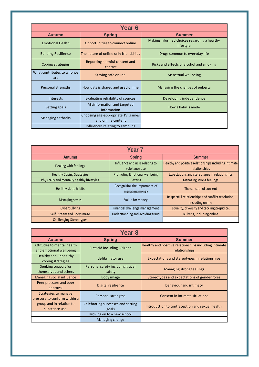| Year <sub>6</sub>                 |                                                          |                                                          |  |  |
|-----------------------------------|----------------------------------------------------------|----------------------------------------------------------|--|--|
| <b>Autumn</b>                     | <b>Spring</b>                                            | <b>Summer</b>                                            |  |  |
| <b>Emotional Health</b>           | Opportunities to connect online                          | Making informed choices regarding a healthy<br>lifestyle |  |  |
| <b>Building Resilience</b>        | The nature of online only friendships                    | Drugs common to everyday life                            |  |  |
| <b>Coping Strategies</b>          | Reporting harmful content and<br>contact                 | Risks and effects of alcohol and smoking                 |  |  |
| What contributes to who we<br>are | Staying safe online                                      | Menstrual wellbeing                                      |  |  |
| Personal strengths                | How data is shared and used online                       | Managing the changes of puberty                          |  |  |
| Interests                         | Evaluating reliability of sources                        | Developing independence                                  |  |  |
| Setting goals                     | Misinformation and targeted<br>information               | How a baby is made                                       |  |  |
| Managing setbacks                 | Choosing age-appropriate TV, games<br>and online content |                                                          |  |  |
|                                   | Influences relating to gambling                          |                                                          |  |  |

| Year <sub>7</sub>                          |                                                  |                                                                        |  |  |
|--------------------------------------------|--------------------------------------------------|------------------------------------------------------------------------|--|--|
| <b>Autumn</b>                              | <b>Spring</b>                                    | <b>Summer</b>                                                          |  |  |
| Dealing with feelings                      | Influence and risks relating to<br>substance use | Healthy and positive relationships including intimate<br>relationships |  |  |
| <b>Healthy Coping Strategies</b>           | <b>Promoting Emotional wellbeing</b>             | Expectations and stereotypes in relationships                          |  |  |
| Physically and mentally healthy lifestyles | Sexting                                          | Managing strong feelings                                               |  |  |
| Healthy sleep habits                       | Recognising the importance of<br>managing money  | The concept of consent                                                 |  |  |
| <b>Managing stress</b>                     | Value for money                                  | Respectful relationships and conflict resolution,<br>including online  |  |  |
| Cyberbullying                              | Financial challenge management                   | Equality, diversity and tackling prejudice;                            |  |  |
| Self Esteem and Body Image                 | Understanding and avoiding fraud                 | Bullying, including online                                             |  |  |
| <b>Challenging Stereotypes</b>             |                                                  |                                                                        |  |  |

| Year <sub>8</sub>                                           |                                            |                                                                        |  |  |
|-------------------------------------------------------------|--------------------------------------------|------------------------------------------------------------------------|--|--|
| <b>Autumn</b>                                               | <b>Spring</b>                              | <b>Summer</b>                                                          |  |  |
| Attitudes to mental health<br>and emotional wellbeing       | First aid including CPR and                | Healthy and positive relationships including intimate<br>relationships |  |  |
| Healthy and unhealthy<br>coping strategies                  | defibrillator use                          | Expectations and stereotypes in relationships                          |  |  |
| Seeking support for<br>themselves and others                | Personal safety including travel<br>safety | Managing strong feelings                                               |  |  |
| Managing social influence                                   | Body image                                 | Stereotypes and expectations of gender roles                           |  |  |
| Peer pressure and peer<br>approval                          | Digital resilience                         | behaviour and intimacy                                                 |  |  |
| <b>Strategies to manage</b><br>pressure to conform within a | Personal strengths                         | Consent in intimate situations                                         |  |  |
| group and in relation to<br>substance use.                  | Celebrating successes and setting<br>goals | Introduction to contraception and sexual health.                       |  |  |
|                                                             | Moving on to a new school                  |                                                                        |  |  |
|                                                             | Managing change                            |                                                                        |  |  |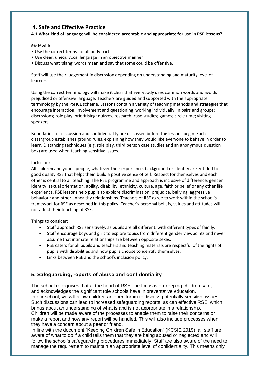### **4. Safe and Effective Practice**

#### **4.1 What kind of language will be considered acceptable and appropriate for use in RSE lessons?**

#### **Staff will:**

- Use the correct terms for all body parts
- Use clear, unequivocal language in an objective manner
- Discuss what 'slang' words mean and say that some could be offensive.

Staff will use their judgement in discussion depending on understanding and maturity level of learners.

Using the correct terminology will make it clear that everybody uses common words and avoids prejudiced or offensive language. Teachers are guided and supported with the appropriate terminology by the PSHCE scheme. Lessons contain a variety of teaching methods and strategies that encourage interaction, involvement and questioning: working individually, in pairs and groups; discussions; role play; prioritising; quizzes; research; case studies; games; circle time; visiting speakers.

Boundaries for discussion and confidentiality are discussed before the lessons begin. Each class/group establishes ground rules, explaining how they would like everyone to behave in order to learn. Distancing techniques (e.g. role play, third person case studies and an anonymous question box) are used when teaching sensitive issues.

#### Inclusion:

All children and young people, whatever their experience, background or identity are entitled to good quality RSE that helps them build a positive sense of self. Respect for themselves and each other is central to all teaching. The RSE programme and approach is inclusive of difference: gender identity, sexual orientation, ability, disability, ethnicity, culture, age, faith or belief or any other life experience. RSE lessons help pupils to explore discrimination, prejudice, bullying; aggressive behaviour and other unhealthy relationships. Teachers of RSE agree to work within the school's framework for RSE as described in this policy. Teacher's personal beliefs, values and attitudes will not affect their teaching of RSE.

#### Things to consider:

- Staff approach RSE sensitively, as pupils are all different, with different types of family.
- Staff encourage boys and girls to explore topics from different gender viewpoints and never assume that intimate relationships are between opposite sexes.
- RSE caters for all pupils and teachers and teaching materials are respectful of the rights of pupils with disabilities and how pupils choose to identify themselves.
- Links between RSE and the school's inclusion policy.

### **5. Safeguarding, reports of abuse and confidentiality**

The school recognises that at the heart of RSE, the focus is on keeping children safe, and acknowledges the significant role schools have in preventative education. In our school, we will allow children an open forum to discuss potentially sensitive issues. Such discussions can lead to increased safeguarding reports, as can effective RSE, which brings about an understanding of what is and is not appropriate in a relationship. Children will be made aware of the processes to enable them to raise their concerns or make a report and how any report will be handled. This will also include processes when they have a concern about a peer or friend.

In line with the document "Keeping Children Safe in Education" (KCSIE 2019), all staff are aware of what to do if a child tells them that they are being abused or neglected and will follow the school's safeguarding procedures immediately. Staff are also aware of the need to manage the requirement to maintain an appropriate level of confidentiality. This means only